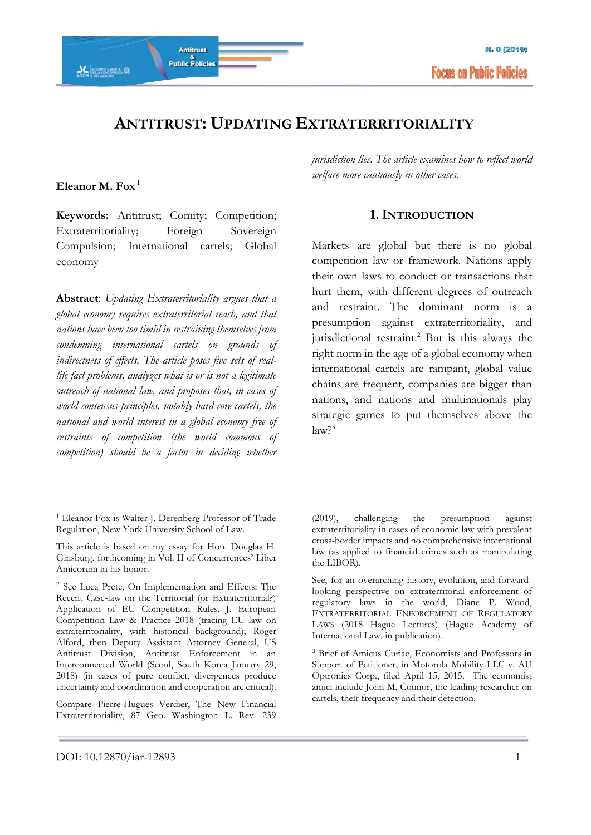

# **ANTITRUST: UPDATING EXTRATERRITORIALITY**

#### **Eleanor M. Fox <sup>1</sup>**

<u>.</u>

**Keywords:** Antitrust; Comity; Competition; Extraterritoriality; Foreign Sovereign Compulsion; International cartels; Global economy

**Abstract**: *Updating Extraterritoriality argues that a global economy requires extraterritorial reach, and that nations have been too timid in restraining themselves from condemning international cartels on grounds of indirectness of effects. The article poses five sets of reallife fact problems, analyzes what is or is not a legitimate outreach of national law, and proposes that, in cases of world consensus principles, notably hard core cartels, the national and world interest in a global economy free of restraints of competition (the world commons of competition) should be a factor in deciding whether* 

#### **1. INTRODUCTION**

Markets are global but there is no global competition law or framework. Nations apply their own laws to conduct or transactions that hurt them, with different degrees of outreach and restraint. The dominant norm is a presumption against extraterritoriality, and jurisdictional restraint.<sup>2</sup> But is this always the right norm in the age of a global economy when international cartels are rampant, global value chains are frequent, companies are bigger than nations, and nations and multinationals play strategic games to put themselves above the  $law<sup>3</sup>$ 

Compare Pierre-Hugues Verdier, The New Financial Extraterritoriality, 87 Geo. Washington L. Rev. 239

*jurisdiction lies. The article examines how to reflect world welfare more cautiously in other cases.*

<sup>1</sup> Eleanor Fox is Walter J. Derenberg Professor of Trade Regulation, New York University School of Law.

This article is based on my essay for Hon. Douglas H. Ginsburg, forthcoming in Vol. II of Concurrences' Liber Amicorum in his honor.

<sup>2</sup> See Luca Prete, On Implementation and Effects: The Recent Case-law on the Territorial (or Extraterritorial?) Application of EU Competition Rules, J. European Competition Law & Practice 2018 (tracing EU law on extraterritoriality, with historical background); Roger Alford, then Deputy Assistant Attorney General, US Antitrust Division, Antitrust Enforcement in an Interconnected World (Seoul, South Korea January 29, 2018) (in cases of pure conflict, divergences produce uncertainty and coordination and cooperation are critical).

<sup>(2019),</sup> challenging the presumption against extraterritoriality in cases of economic law with prevalent cross-border impacts and no comprehensive international law (as applied to financial crimes such as manipulating the LIBOR).

See, for an overarching history, evolution, and forwardlooking perspective on extraterritorial enforcement of regulatory laws in the world, Diane P. Wood, EXTRATERRITORIAL ENFORCEMENT OF REGULATORY LAWS (2018 Hague Lectures) (Hague Academy of International Law, in publication).

<sup>3</sup> Brief of Amicus Curiae, Economists and Professors in Support of Petitioner, in Motorola Mobility LLC v. AU Optronics Corp., filed April 15, 2015. The economist amici include John M. Connor, the leading researcher on cartels, their frequency and their detection.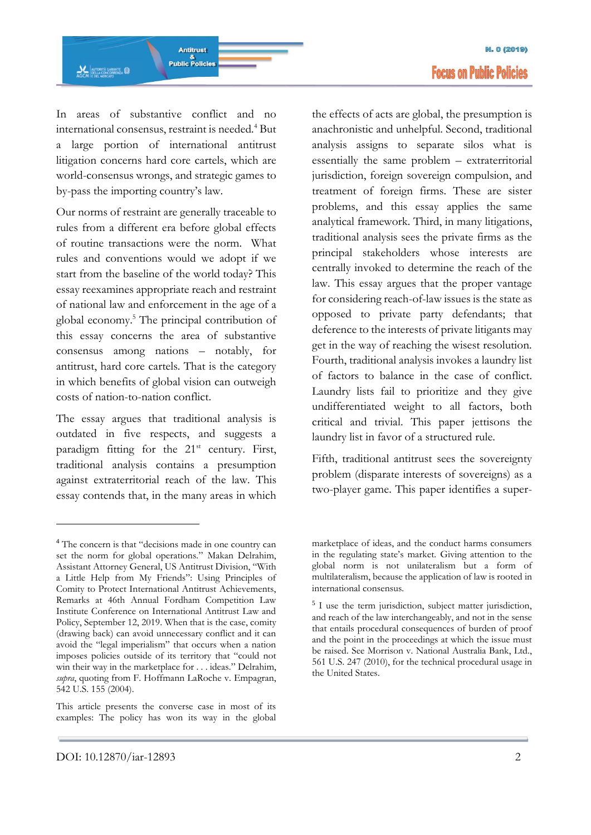

In areas of substantive conflict and no international consensus, restraint is needed.<sup>4</sup> But a large portion of international antitrust litigation concerns hard core cartels, which are world-consensus wrongs, and strategic games to by-pass the importing country's law.

Our norms of restraint are generally traceable to rules from a different era before global effects of routine transactions were the norm. What rules and conventions would we adopt if we start from the baseline of the world today? This essay reexamines appropriate reach and restraint of national law and enforcement in the age of a global economy.<sup>5</sup> The principal contribution of this essay concerns the area of substantive consensus among nations – notably, for antitrust, hard core cartels. That is the category in which benefits of global vision can outweigh costs of nation-to-nation conflict.

The essay argues that traditional analysis is outdated in five respects, and suggests a paradigm fitting for the 21<sup>st</sup> century. First, traditional analysis contains a presumption against extraterritorial reach of the law. This essay contends that, in the many areas in which

the effects of acts are global, the presumption is anachronistic and unhelpful. Second, traditional analysis assigns to separate silos what is essentially the same problem – extraterritorial jurisdiction, foreign sovereign compulsion, and treatment of foreign firms. These are sister problems, and this essay applies the same analytical framework. Third, in many litigations, traditional analysis sees the private firms as the principal stakeholders whose interests are centrally invoked to determine the reach of the law. This essay argues that the proper vantage for considering reach-of-law issues is the state as opposed to private party defendants; that deference to the interests of private litigants may get in the way of reaching the wisest resolution. Fourth, traditional analysis invokes a laundry list of factors to balance in the case of conflict. Laundry lists fail to prioritize and they give undifferentiated weight to all factors, both critical and trivial. This paper jettisons the laundry list in favor of a structured rule.

Fifth, traditional antitrust sees the sovereignty problem (disparate interests of sovereigns) as a two-player game. This paper identifies a super-

<sup>4</sup> The concern is that "decisions made in one country can set the norm for global operations." Makan Delrahim, Assistant Attorney General, US Antitrust Division, "With a Little Help from My Friends": Using Principles of Comity to Protect International Antitrust Achievements, Remarks at 46th Annual Fordham Competition Law Institute Conference on International Antitrust Law and Policy, September 12, 2019. When that is the case, comity (drawing back) can avoid unnecessary conflict and it can avoid the "legal imperialism" that occurs when a nation imposes policies outside of its territory that "could not win their way in the marketplace for . . . ideas." Delrahim, *supra*, quoting from F. Hoffmann LaRoche v. Empagran, 542 U.S. 155 (2004).

This article presents the converse case in most of its examples: The policy has won its way in the global

marketplace of ideas, and the conduct harms consumers in the regulating state's market. Giving attention to the global norm is not unilateralism but a form of multilateralism, because the application of law is rooted in international consensus.

<sup>5</sup> I use the term jurisdiction, subject matter jurisdiction, and reach of the law interchangeably, and not in the sense that entails procedural consequences of burden of proof and the point in the proceedings at which the issue must be raised. See Morrison v. National Australia Bank, Ltd., 561 U.S. 247 (2010), for the technical procedural usage in the United States.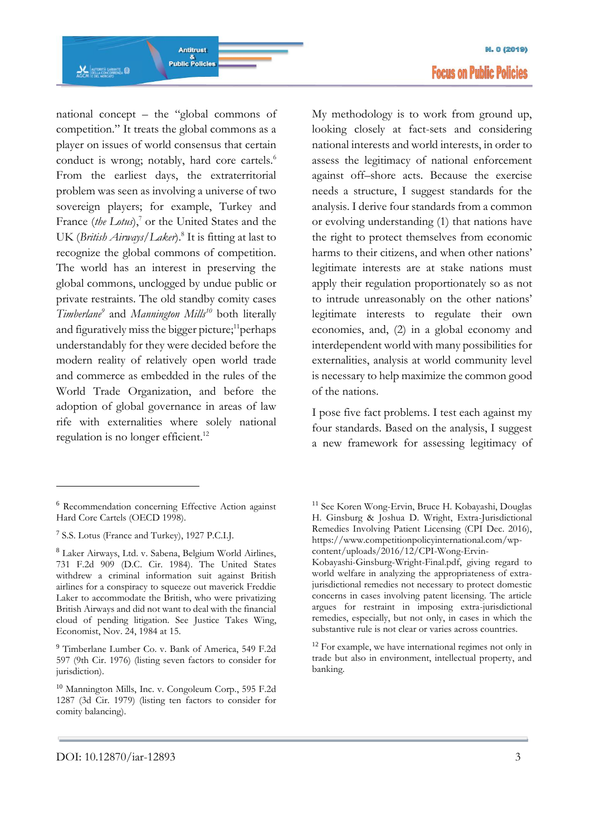national concept – the "global commons of competition." It treats the global commons as a player on issues of world consensus that certain conduct is wrong; notably, hard core cartels.<sup>6</sup> From the earliest days, the extraterritorial problem was seen as involving a universe of two sovereign players; for example, Turkey and France (*the Lotus*),<sup>7</sup> or the United States and the UK (*British Airways*/Laker).<sup>8</sup> It is fitting at last to recognize the global commons of competition. The world has an interest in preserving the global commons, unclogged by undue public or private restraints. The old standby comity cases *Timberlane<sup>9</sup>* and *Mannington Mills<sup>10</sup>* both literally and figuratively miss the bigger picture; $^{11}$ perhaps understandably for they were decided before the modern reality of relatively open world trade and commerce as embedded in the rules of the World Trade Organization, and before the adoption of global governance in areas of law rife with externalities where solely national regulation is no longer efficient.<sup>12</sup>

-

My methodology is to work from ground up, looking closely at fact-sets and considering national interests and world interests, in order to assess the legitimacy of national enforcement against off–shore acts. Because the exercise needs a structure, I suggest standards for the analysis. I derive four standards from a common or evolving understanding (1) that nations have the right to protect themselves from economic harms to their citizens, and when other nations' legitimate interests are at stake nations must apply their regulation proportionately so as not to intrude unreasonably on the other nations' legitimate interests to regulate their own economies, and, (2) in a global economy and interdependent world with many possibilities for externalities, analysis at world community level is necessary to help maximize the common good of the nations.

I pose five fact problems. I test each against my four standards. Based on the analysis, I suggest a new framework for assessing legitimacy of

<sup>6</sup> Recommendation concerning Effective Action against Hard Core Cartels (OECD 1998).

<sup>7</sup> S.S. Lotus (France and Turkey), 1927 P.C.I.J.

<sup>8</sup> Laker Airways, Ltd. v. Sabena, Belgium World Airlines, 731 F.2d 909 (D.C. Cir. 1984). The United States withdrew a criminal information suit against British airlines for a conspiracy to squeeze out maverick Freddie Laker to accommodate the British, who were privatizing British Airways and did not want to deal with the financial cloud of pending litigation. See Justice Takes Wing, Economist, Nov. 24, 1984 at 15.

<sup>9</sup> Timberlane Lumber Co. v. Bank of America, 549 F.2d 597 (9th Cir. 1976) (listing seven factors to consider for jurisdiction).

<sup>10</sup> Mannington Mills, Inc. v. Congoleum Corp., 595 F.2d 1287 (3d Cir. 1979) (listing ten factors to consider for comity balancing).

<sup>11</sup> See Koren Wong-Ervin, Bruce H. Kobayashi, Douglas H. Ginsburg & Joshua D. Wright, Extra-Jurisdictional Remedies Involving Patient Licensing (CPI Dec. 2016), [https://www.competitionpolicyinternational.com/wp](https://www.competitionpolicyinternational.com/wp-content/uploads/2016/12/CPI-Wong-Ervin-Kobayashi-Ginsburg-Wright-Final.pdf)[content/uploads/2016/12/CPI-Wong-Ervin-](https://www.competitionpolicyinternational.com/wp-content/uploads/2016/12/CPI-Wong-Ervin-Kobayashi-Ginsburg-Wright-Final.pdf)

[Kobayashi-Ginsburg-Wright-Final.pdf,](https://www.competitionpolicyinternational.com/wp-content/uploads/2016/12/CPI-Wong-Ervin-Kobayashi-Ginsburg-Wright-Final.pdf) giving regard to world welfare in analyzing the appropriateness of extrajurisdictional remedies not necessary to protect domestic concerns in cases involving patent licensing. The article argues for restraint in imposing extra-jurisdictional remedies, especially, but not only, in cases in which the substantive rule is not clear or varies across countries.

<sup>&</sup>lt;sup>12</sup> For example, we have international regimes not only in trade but also in environment, intellectual property, and banking.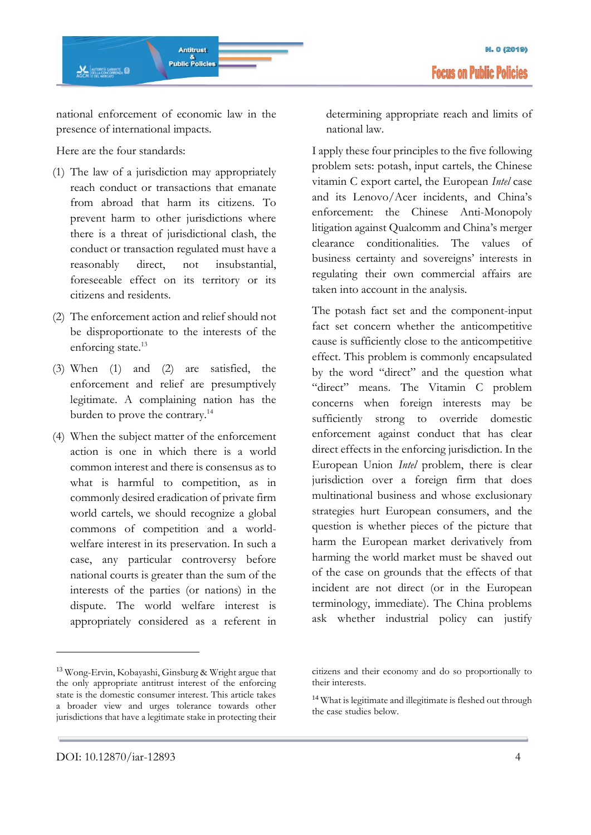national enforcement of economic law in the presence of international impacts.

Here are the four standards:

- (1) The law of a jurisdiction may appropriately reach conduct or transactions that emanate from abroad that harm its citizens. To prevent harm to other jurisdictions where there is a threat of jurisdictional clash, the conduct or transaction regulated must have a reasonably direct, not insubstantial, foreseeable effect on its territory or its citizens and residents.
- (2) The enforcement action and relief should not be disproportionate to the interests of the enforcing state.<sup>13</sup>
- (3) When (1) and (2) are satisfied, the enforcement and relief are presumptively legitimate. A complaining nation has the burden to prove the contrary.<sup>14</sup>
- (4) When the subject matter of the enforcement action is one in which there is a world common interest and there is consensus as to what is harmful to competition, as in commonly desired eradication of private firm world cartels, we should recognize a global commons of competition and a worldwelfare interest in its preservation. In such a case, any particular controversy before national courts is greater than the sum of the interests of the parties (or nations) in the dispute. The world welfare interest is appropriately considered as a referent in

determining appropriate reach and limits of national law.

I apply these four principles to the five following problem sets: potash, input cartels, the Chinese vitamin C export cartel, the European *Intel* case and its Lenovo/Acer incidents, and China's enforcement: the Chinese Anti-Monopoly litigation against Qualcomm and China's merger clearance conditionalities. The values of business certainty and sovereigns' interests in regulating their own commercial affairs are taken into account in the analysis.

The potash fact set and the component-input fact set concern whether the anticompetitive cause is sufficiently close to the anticompetitive effect. This problem is commonly encapsulated by the word "direct" and the question what "direct" means. The Vitamin C problem concerns when foreign interests may be sufficiently strong to override domestic enforcement against conduct that has clear direct effects in the enforcing jurisdiction. In the European Union *Intel* problem, there is clear jurisdiction over a foreign firm that does multinational business and whose exclusionary strategies hurt European consumers, and the question is whether pieces of the picture that harm the European market derivatively from harming the world market must be shaved out of the case on grounds that the effects of that incident are not direct (or in the European terminology, immediate). The China problems ask whether industrial policy can justify

<sup>13</sup> Wong-Ervin, Kobayashi, Ginsburg & Wright argue that the only appropriate antitrust interest of the enforcing state is the domestic consumer interest. This article takes a broader view and urges tolerance towards other jurisdictions that have a legitimate stake in protecting their

citizens and their economy and do so proportionally to their interests.

<sup>&</sup>lt;sup>14</sup> What is legitimate and illegitimate is fleshed out through the case studies below.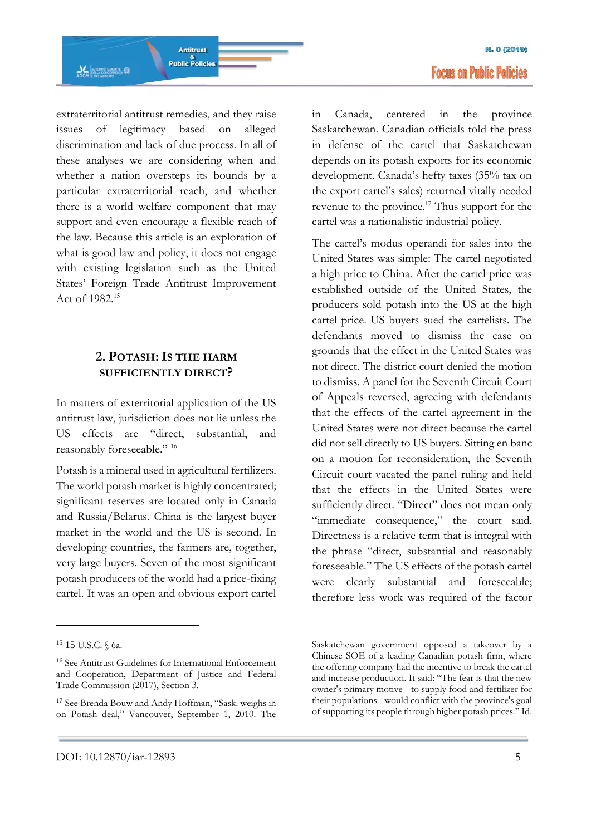**M. 0 (2019) Focus on Public Policies** 

extraterritorial antitrust remedies, and they raise issues of legitimacy based on alleged discrimination and lack of due process. In all of these analyses we are considering when and whether a nation oversteps its bounds by a particular extraterritorial reach, and whether there is a world welfare component that may support and even encourage a flexible reach of the law. Because this article is an exploration of what is good law and policy, it does not engage with existing legislation such as the United States' Foreign Trade Antitrust Improvement Act of 1982.<sup>15</sup>

### **2. POTASH:IS THE HARM SUFFICIENTLY DIRECT?**

In matters of exterritorial application of the US antitrust law, jurisdiction does not lie unless the US effects are "direct, substantial, and reasonably foreseeable." 16

Potash is a mineral used in agricultural fertilizers. The world potash market is highly concentrated; significant reserves are located only in Canada and Russia/Belarus. China is the largest buyer market in the world and the US is second. In developing countries, the farmers are, together, very large buyers. Seven of the most significant potash producers of the world had a price-fixing cartel. It was an open and obvious export cartel

<u>.</u>

in Canada, centered in the province Saskatchewan. Canadian officials told the press in defense of the cartel that Saskatchewan depends on its potash exports for its economic development. Canada's hefty taxes (35% tax on the export cartel's sales) returned vitally needed revenue to the province.<sup>17</sup> Thus support for the cartel was a nationalistic industrial policy.

The cartel's modus operandi for sales into the United States was simple: The cartel negotiated a high price to China. After the cartel price was established outside of the United States, the producers sold potash into the US at the high cartel price. US buyers sued the cartelists. The defendants moved to dismiss the case on grounds that the effect in the United States was not direct. The district court denied the motion to dismiss. A panel for the Seventh Circuit Court of Appeals reversed, agreeing with defendants that the effects of the cartel agreement in the United States were not direct because the cartel did not sell directly to US buyers. Sitting en banc on a motion for reconsideration, the Seventh Circuit court vacated the panel ruling and held that the effects in the United States were sufficiently direct. "Direct" does not mean only "immediate consequence," the court said. Directness is a relative term that is integral with the phrase "direct, substantial and reasonably foreseeable." The US effects of the potash cartel were clearly substantial and foreseeable; therefore less work was required of the factor

<sup>15 15</sup> U.S.C. § 6a.

<sup>16</sup> See Antitrust Guidelines for International Enforcement and Cooperation, Department of Justice and Federal Trade Commission (2017), Section 3.

<sup>17</sup> See Brenda Bouw and Andy Hoffman, "Sask. weighs in on Potash deal," Vancouver, September 1, 2010. The

Saskatchewan government opposed a takeover by a Chinese SOE of a leading Canadian potash firm, where the offering company had the incentive to break the cartel and increase production. It said: "The fear is that the new owner's primary motive - to supply food and fertilizer for their populations - would conflict with the province's goal of supporting its people through higher potash prices." Id.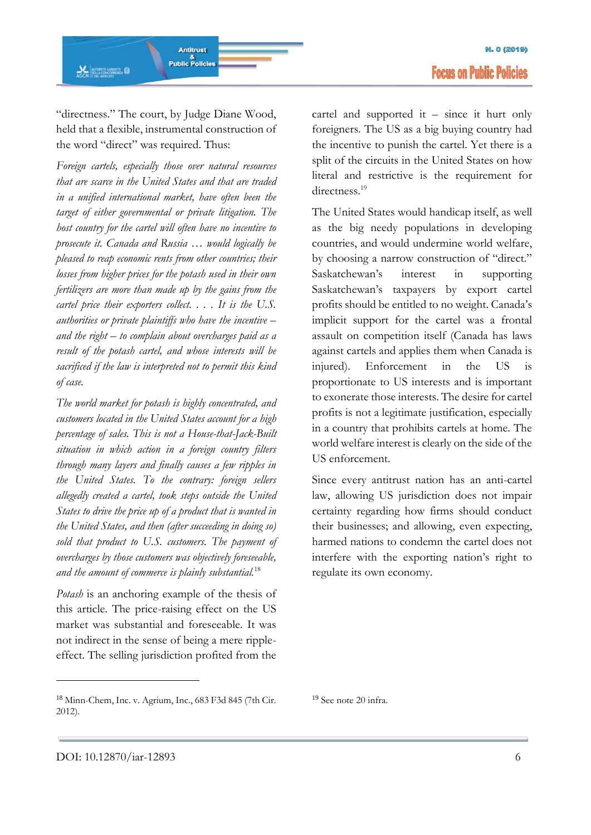"directness." The court, by Judge Diane Wood, held that a flexible, instrumental construction of the word "direct" was required. Thus:

*Foreign cartels, especially those over natural resources that are scarce in the United States and that are traded in a unified international market, have often been the target of either governmental or private litigation. The host country for the cartel will often have no incentive to prosecute it. Canada and Russia … would logically be pleased to reap economic rents from other countries; their losses from higher prices for the potash used in their own fertilizers are more than made up by the gains from the cartel price their exporters collect. . . . It is the U.S. authorities or private plaintiffs who have the incentive – and the right – to complain about overcharges paid as a result of the potash cartel, and whose interests will be sacrificed if the law is interpreted not to permit this kind of case.*

*The world market for potash is highly concentrated, and customers located in the United States account for a high percentage of sales. This is not a House-that-Jack-Built situation in which action in a foreign country filters through many layers and finally causes a few ripples in the United States. To the contrary: foreign sellers allegedly created a cartel, took steps outside the United States to drive the price up of a product that is wanted in the United States, and then (after succeeding in doing so) sold that product to U.S. customers. The payment of overcharges by those customers was objectively foreseeable, and the amount of commerce is plainly substantial.*<sup>18</sup>

*Potash* is an anchoring example of the thesis of this article. The price-raising effect on the US market was substantial and foreseeable. It was not indirect in the sense of being a mere rippleeffect. The selling jurisdiction profited from the cartel and supported it – since it hurt only foreigners. The US as a big buying country had the incentive to punish the cartel. Yet there is a split of the circuits in the United States on how literal and restrictive is the requirement for directness.<sup>19</sup>

The United States would handicap itself, as well as the big needy populations in developing countries, and would undermine world welfare, by choosing a narrow construction of "direct." Saskatchewan's interest in supporting Saskatchewan's taxpayers by export cartel profits should be entitled to no weight. Canada's implicit support for the cartel was a frontal assault on competition itself (Canada has laws against cartels and applies them when Canada is injured). Enforcement in the US is proportionate to US interests and is important to exonerate those interests. The desire for cartel profits is not a legitimate justification, especially in a country that prohibits cartels at home. The world welfare interest is clearly on the side of the US enforcement.

Since every antitrust nation has an anti-cartel law, allowing US jurisdiction does not impair certainty regarding how firms should conduct their businesses; and allowing, even expecting, harmed nations to condemn the cartel does not interfere with the exporting nation's right to regulate its own economy.

<sup>18</sup> Minn-Chem, Inc. v. Agrium, Inc., 683 F3d 845 (7th Cir. 2012).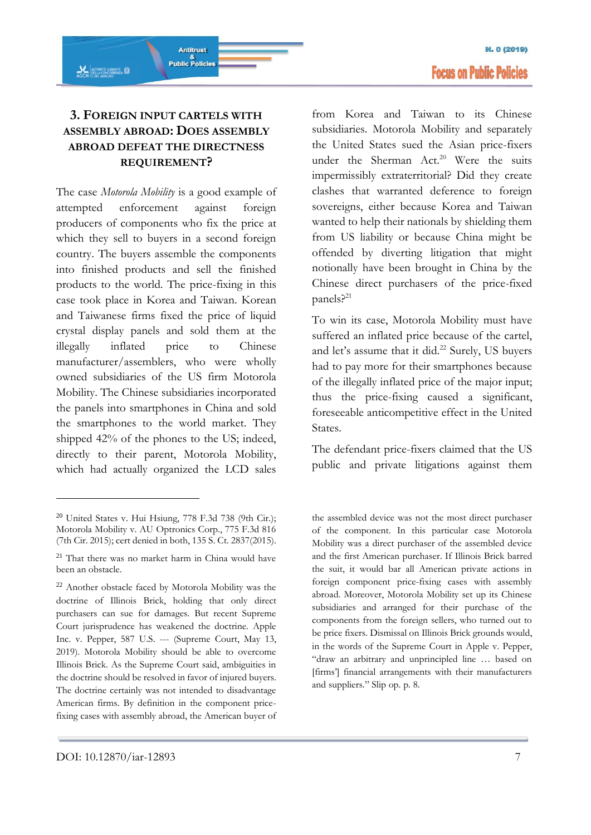## **3. FOREIGN INPUT CARTELS WITH ASSEMBLY ABROAD: DOES ASSEMBLY ABROAD DEFEAT THE DIRECTNESS REQUIREMENT?**

Antitrust

&<br>Public Policies

The case *Motorola Mobility* is a good example of attempted enforcement against foreign producers of components who fix the price at which they sell to buyers in a second foreign country. The buyers assemble the components into finished products and sell the finished products to the world. The price-fixing in this case took place in Korea and Taiwan. Korean and Taiwanese firms fixed the price of liquid crystal display panels and sold them at the illegally inflated price to Chinese manufacturer/assemblers, who were wholly owned subsidiaries of the US firm Motorola Mobility. The Chinese subsidiaries incorporated the panels into smartphones in China and sold the smartphones to the world market. They shipped 42% of the phones to the US; indeed, directly to their parent, Motorola Mobility, which had actually organized the LCD sales

from Korea and Taiwan to its Chinese subsidiaries. Motorola Mobility and separately the United States sued the Asian price-fixers under the Sherman Act.<sup>20</sup> Were the suits impermissibly extraterritorial? Did they create clashes that warranted deference to foreign sovereigns, either because Korea and Taiwan wanted to help their nationals by shielding them from US liability or because China might be offended by diverting litigation that might notionally have been brought in China by the Chinese direct purchasers of the price-fixed panels? 21

To win its case, Motorola Mobility must have suffered an inflated price because of the cartel, and let's assume that it did.<sup>22</sup> Surely, US buyers had to pay more for their smartphones because of the illegally inflated price of the major input; thus the price-fixing caused a significant, foreseeable anticompetitive effect in the United States.

The defendant price-fixers claimed that the US public and private litigations against them

-

 $20$  United States v. Hui Hsiung, 778 F.3d 738 (9th Cir.); Motorola Mobility v. AU Optronics Corp., 775 F.3d 816 (7th Cir. 2015); cert denied in both, 135 S. Ct. 2837(2015).

<sup>21</sup> That there was no market harm in China would have been an obstacle.

<sup>22</sup> Another obstacle faced by Motorola Mobility was the doctrine of Illinois Brick, holding that only direct purchasers can sue for damages. But recent Supreme Court jurisprudence has weakened the doctrine. Apple Inc. v. Pepper, 587 U.S. --- (Supreme Court, May 13, 2019). Motorola Mobility should be able to overcome Illinois Brick. As the Supreme Court said, ambiguities in the doctrine should be resolved in favor of injured buyers. The doctrine certainly was not intended to disadvantage American firms. By definition in the component pricefixing cases with assembly abroad, the American buyer of

the assembled device was not the most direct purchaser of the component. In this particular case Motorola Mobility was a direct purchaser of the assembled device and the first American purchaser. If Illinois Brick barred the suit, it would bar all American private actions in foreign component price-fixing cases with assembly abroad. Moreover, Motorola Mobility set up its Chinese subsidiaries and arranged for their purchase of the components from the foreign sellers, who turned out to be price fixers. Dismissal on Illinois Brick grounds would, in the words of the Supreme Court in Apple v. Pepper, "draw an arbitrary and unprincipled line … based on [firms'] financial arrangements with their manufacturers and suppliers." Slip op. p. 8.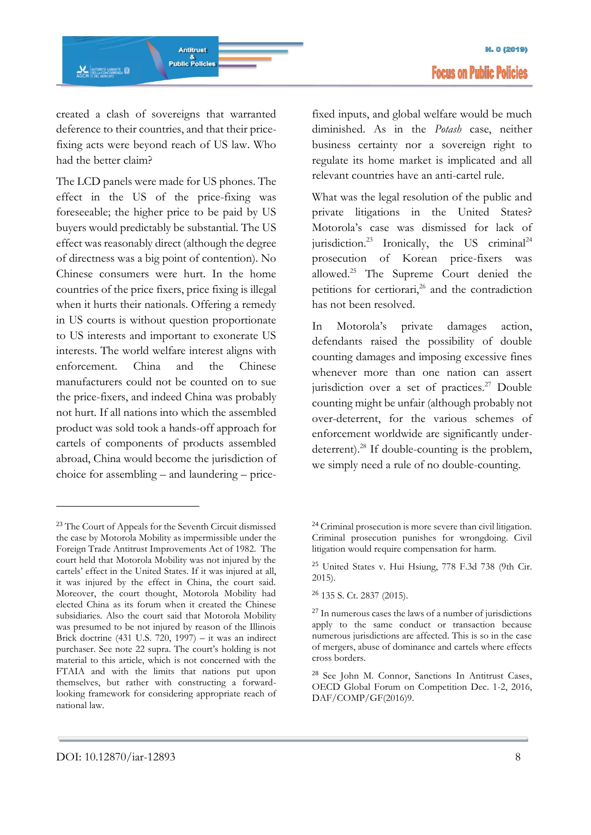created a clash of sovereigns that warranted deference to their countries, and that their pricefixing acts were beyond reach of US law. Who had the better claim?

The LCD panels were made for US phones. The effect in the US of the price-fixing was foreseeable; the higher price to be paid by US buyers would predictably be substantial. The US effect was reasonably direct (although the degree of directness was a big point of contention). No Chinese consumers were hurt. In the home countries of the price fixers, price fixing is illegal when it hurts their nationals. Offering a remedy in US courts is without question proportionate to US interests and important to exonerate US interests. The world welfare interest aligns with enforcement. China and the Chinese manufacturers could not be counted on to sue the price-fixers, and indeed China was probably not hurt. If all nations into which the assembled product was sold took a hands-off approach for cartels of components of products assembled abroad, China would become the jurisdiction of choice for assembling – and laundering – price-

fixed inputs, and global welfare would be much diminished. As in the *Potash* case, neither business certainty nor a sovereign right to regulate its home market is implicated and all relevant countries have an anti-cartel rule.

What was the legal resolution of the public and private litigations in the United States? Motorola's case was dismissed for lack of jurisdiction.<sup>23</sup> Ironically, the US criminal<sup>24</sup> prosecution of Korean price-fixers was allowed.<sup>25</sup> The Supreme Court denied the petitions for certiorari,<sup>26</sup> and the contradiction has not been resolved.

In Motorola's private damages action, defendants raised the possibility of double counting damages and imposing excessive fines whenever more than one nation can assert jurisdiction over a set of practices.<sup>27</sup> Double counting might be unfair (although probably not over-deterrent, for the various schemes of enforcement worldwide are significantly underdeterrent).<sup>28</sup> If double-counting is the problem, we simply need a rule of no double-counting.

-

<sup>23</sup> The Court of Appeals for the Seventh Circuit dismissed the case by Motorola Mobility as impermissible under the Foreign Trade Antitrust Improvements Act of 1982. The court held that Motorola Mobility was not injured by the cartels' effect in the United States. If it was injured at all, it was injured by the effect in China, the court said. Moreover, the court thought, Motorola Mobility had elected China as its forum when it created the Chinese subsidiaries. Also the court said that Motorola Mobility was presumed to be not injured by reason of the Illinois Brick doctrine (431 U.S. 720, 1997) – it was an indirect purchaser. See note 22 supra. The court's holding is not material to this article, which is not concerned with the FTAIA and with the limits that nations put upon themselves, but rather with constructing a forwardlooking framework for considering appropriate reach of national law.

<sup>&</sup>lt;sup>24</sup> Criminal prosecution is more severe than civil litigation. Criminal prosecution punishes for wrongdoing. Civil litigation would require compensation for harm.

<sup>25</sup> United States v. Hui Hsiung, 778 F.3d 738 (9th Cir. 2015).

<sup>26</sup> 135 S. Ct. 2837 (2015).

 $27$  In numerous cases the laws of a number of jurisdictions apply to the same conduct or transaction because numerous jurisdictions are affected. This is so in the case of mergers, abuse of dominance and cartels where effects cross borders.

<sup>28</sup> See John M. Connor, Sanctions In Antitrust Cases, OECD Global Forum on Competition Dec. 1-2, 2016, DAF/COMP/GF(2016)9.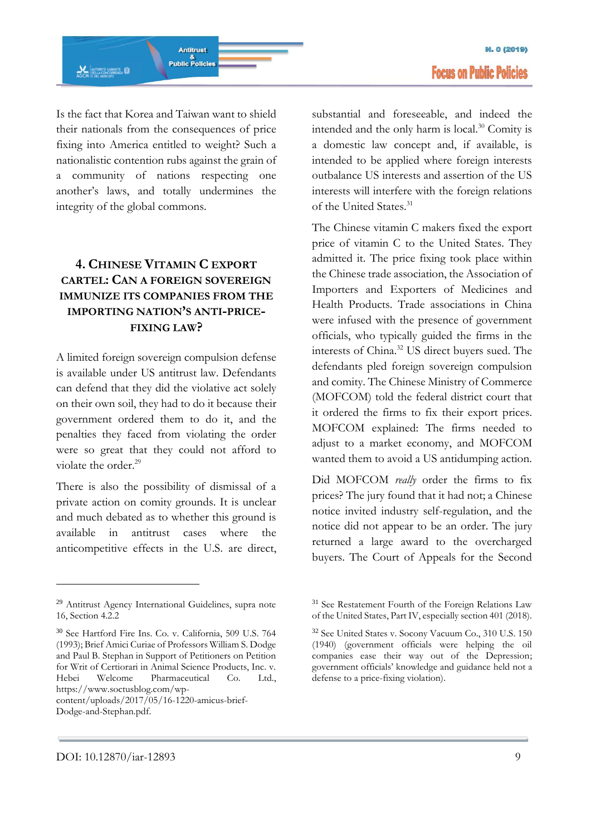

Is the fact that Korea and Taiwan want to shield their nationals from the consequences of price fixing into America entitled to weight? Such a nationalistic contention rubs against the grain of a community of nations respecting one another's laws, and totally undermines the integrity of the global commons.

### **4. CHINESE VITAMIN C EXPORT CARTEL: CAN A FOREIGN SOVEREIGN IMMUNIZE ITS COMPANIES FROM THE IMPORTING NATION'S ANTI-PRICE-FIXING LAW?**

A limited foreign sovereign compulsion defense is available under US antitrust law. Defendants can defend that they did the violative act solely on their own soil, they had to do it because their government ordered them to do it, and the penalties they faced from violating the order were so great that they could not afford to violate the order. 29

There is also the possibility of dismissal of a private action on comity grounds. It is unclear and much debated as to whether this ground is available in antitrust cases where the anticompetitive effects in the U.S. are direct,

<sup>30</sup> See Hartford Fire Ins. Co. v. California, 509 U.S. 764 (1993); Brief Amici Curiae of Professors William S. Dodge and Paul B. Stephan in Support of Petitioners on Petition for Writ of Certiorari in Animal Science Products, Inc. v. Hebei Welcome Pharmaceutical Co. Ltd., https://www.soctusblog.com/wpsubstantial and foreseeable, and indeed the intended and the only harm is local.<sup>30</sup> Comity is a domestic law concept and, if available, is intended to be applied where foreign interests outbalance US interests and assertion of the US interests will interfere with the foreign relations of the United States.<sup>31</sup>

The Chinese vitamin C makers fixed the export price of vitamin C to the United States. They admitted it. The price fixing took place within the Chinese trade association, the Association of Importers and Exporters of Medicines and Health Products. Trade associations in China were infused with the presence of government officials, who typically guided the firms in the interests of China.<sup>32</sup> US direct buyers sued. The defendants pled foreign sovereign compulsion and comity. The Chinese Ministry of Commerce (MOFCOM) told the federal district court that it ordered the firms to fix their export prices. MOFCOM explained: The firms needed to adjust to a market economy, and MOFCOM wanted them to avoid a US antidumping action.

Did MOFCOM *really* order the firms to fix prices? The jury found that it had not; a Chinese notice invited industry self-regulation, and the notice did not appear to be an order. The jury returned a large award to the overcharged buyers. The Court of Appeals for the Second

<sup>29</sup> Antitrust Agency International Guidelines, supra note 16, Section 4.2.2

content/uploads/2017/05/16-1220-amicus-brief-Dodge-and-Stephan.pdf.

<sup>31</sup> See Restatement Fourth of the Foreign Relations Law of the United States, Part IV, especially section 401 (2018).

<sup>32</sup> See United States v. Socony Vacuum Co., 310 U.S. 150 (1940) (government officials were helping the oil companies ease their way out of the Depression; government officials' knowledge and guidance held not a defense to a price-fixing violation).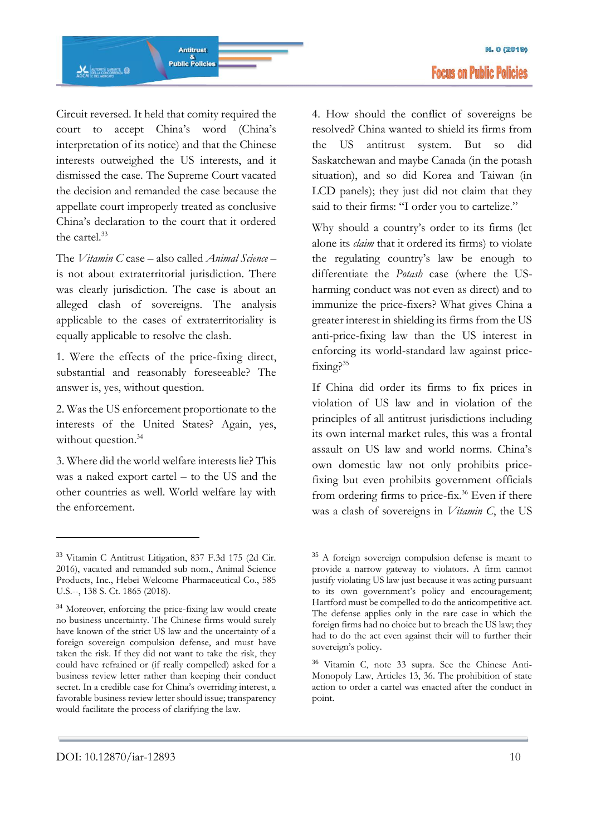Circuit reversed. It held that comity required the court to accept China's word (China's interpretation of its notice) and that the Chinese interests outweighed the US interests, and it dismissed the case. The Supreme Court vacated the decision and remanded the case because the appellate court improperly treated as conclusive China's declaration to the court that it ordered the cartel.<sup>33</sup>

The *Vitamin C* case – also called *Animal Science* – is not about extraterritorial jurisdiction. There was clearly jurisdiction. The case is about an alleged clash of sovereigns. The analysis applicable to the cases of extraterritoriality is equally applicable to resolve the clash.

1. Were the effects of the price-fixing direct, substantial and reasonably foreseeable? The answer is, yes, without question.

2. Was the US enforcement proportionate to the interests of the United States? Again, yes, without question.<sup>34</sup>

3. Where did the world welfare interests lie? This was a naked export cartel – to the US and the other countries as well. World welfare lay with the enforcement.

4. How should the conflict of sovereigns be resolved? China wanted to shield its firms from the US antitrust system. But so did Saskatchewan and maybe Canada (in the potash situation), and so did Korea and Taiwan (in LCD panels); they just did not claim that they said to their firms: "I order you to cartelize."

Why should a country's order to its firms (let alone its *claim* that it ordered its firms) to violate the regulating country's law be enough to differentiate the *Potash* case (where the USharming conduct was not even as direct) and to immunize the price-fixers? What gives China a greater interest in shielding its firms from the US anti-price-fixing law than the US interest in enforcing its world-standard law against pricefixing?<sup>35</sup>

If China did order its firms to fix prices in violation of US law and in violation of the principles of all antitrust jurisdictions including its own internal market rules, this was a frontal assault on US law and world norms. China's own domestic law not only prohibits pricefixing but even prohibits government officials from ordering firms to price-fix.<sup>36</sup> Even if there was a clash of sovereigns in *Vitamin C*, the US

<sup>33</sup> Vitamin C Antitrust Litigation, 837 F.3d 175 (2d Cir. 2016), vacated and remanded sub nom., Animal Science Products, Inc., Hebei Welcome Pharmaceutical Co., 585 U.S.--, 138 S. Ct. 1865 (2018).

<sup>34</sup> Moreover, enforcing the price-fixing law would create no business uncertainty. The Chinese firms would surely have known of the strict US law and the uncertainty of a foreign sovereign compulsion defense, and must have taken the risk. If they did not want to take the risk, they could have refrained or (if really compelled) asked for a business review letter rather than keeping their conduct secret. In a credible case for China's overriding interest, a favorable business review letter should issue; transparency would facilitate the process of clarifying the law.

<sup>35</sup> A foreign sovereign compulsion defense is meant to provide a narrow gateway to violators. A firm cannot justify violating US law just because it was acting pursuant to its own government's policy and encouragement; Hartford must be compelled to do the anticompetitive act. The defense applies only in the rare case in which the foreign firms had no choice but to breach the US law; they had to do the act even against their will to further their sovereign's policy.

<sup>36</sup> Vitamin C, note 33 supra. See the Chinese Anti-Monopoly Law, Articles 13, 36. The prohibition of state action to order a cartel was enacted after the conduct in point.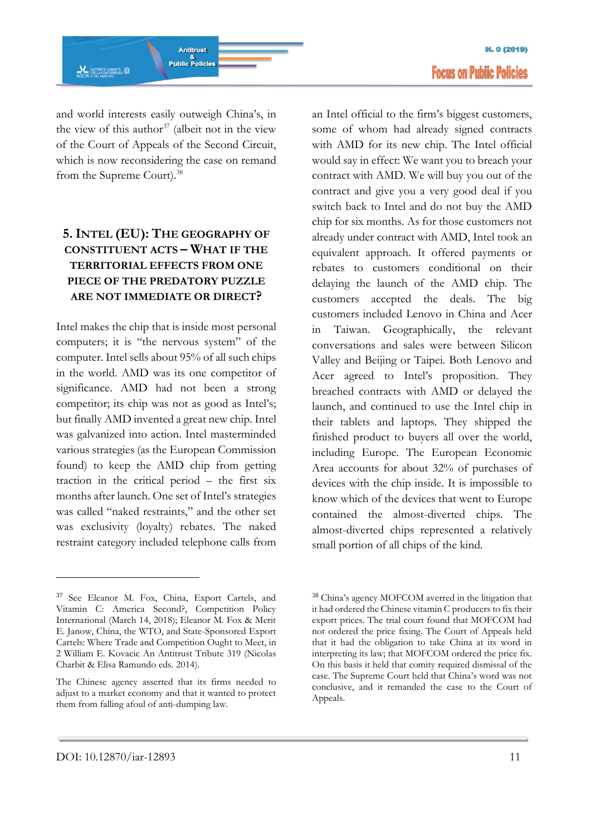

and world interests easily outweigh China's, in the view of this author<sup>37</sup> (albeit not in the view of the Court of Appeals of the Second Circuit, which is now reconsidering the case on remand from the Supreme Court).<sup>38</sup>

### **5.INTEL (EU): THE GEOGRAPHY OF CONSTITUENT ACTS – WHAT IF THE TERRITORIAL EFFECTS FROM ONE PIECE OF THE PREDATORY PUZZLE ARE NOT IMMEDIATE OR DIRECT?**

Intel makes the chip that is inside most personal computers; it is "the nervous system" of the computer. Intel sells about 95% of all such chips in the world. AMD was its one competitor of significance. AMD had not been a strong competitor; its chip was not as good as Intel's; but finally AMD invented a great new chip. Intel was galvanized into action. Intel masterminded various strategies (as the European Commission found) to keep the AMD chip from getting traction in the critical period – the first six months after launch. One set of Intel's strategies was called "naked restraints," and the other set was exclusivity (loyalty) rebates. The naked restraint category included telephone calls from

an Intel official to the firm's biggest customers, some of whom had already signed contracts with AMD for its new chip. The Intel official would say in effect: We want you to breach your contract with AMD. We will buy you out of the contract and give you a very good deal if you switch back to Intel and do not buy the AMD chip for six months. As for those customers not already under contract with AMD, Intel took an equivalent approach. It offered payments or rebates to customers conditional on their delaying the launch of the AMD chip. The customers accepted the deals. The big customers included Lenovo in China and Acer in Taiwan. Geographically, the relevant conversations and sales were between Silicon Valley and Beijing or Taipei. Both Lenovo and Acer agreed to Intel's proposition. They breached contracts with AMD or delayed the launch, and continued to use the Intel chip in their tablets and laptops. They shipped the finished product to buyers all over the world, including Europe. The European Economic Area accounts for about 32% of purchases of devices with the chip inside. It is impossible to know which of the devices that went to Europe contained the almost-diverted chips. The almost-diverted chips represented a relatively small portion of all chips of the kind.

<sup>37</sup> See Eleanor M. Fox, China, Export Cartels, and Vitamin C: America Second?, Competition Policy International (March 14, 2018); Eleanor M. Fox & Merit E. Janow, China, the WTO, and State-Sponsored Export Cartels: Where Trade and Competition Ought to Meet, in 2 William E. Kovacic An Antitrust Tribute 319 (Nicolas Charbit & Elisa Ramundo eds. 2014).

The Chinese agency asserted that its firms needed to adjust to a market economy and that it wanted to protect them from falling afoul of anti-dumping law.

<sup>38</sup> China's agency MOFCOM averred in the litigation that it had ordered the Chinese vitamin C producers to fix their export prices. The trial court found that MOFCOM had not ordered the price fixing. The Court of Appeals held that it had the obligation to take China at its word in interpreting its law; that MOFCOM ordered the price fix. On this basis it held that comity required dismissal of the case. The Supreme Court held that China's word was not conclusive, and it remanded the case to the Court of Appeals.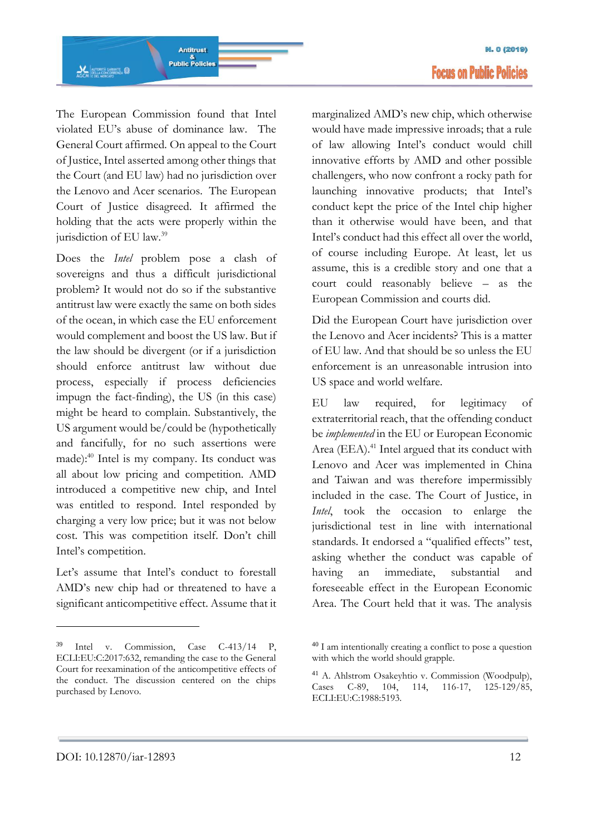

The European Commission found that Intel violated EU's abuse of dominance law. The General Court affirmed. On appeal to the Court of Justice, Intel asserted among other things that the Court (and EU law) had no jurisdiction over the Lenovo and Acer scenarios. The European Court of Justice disagreed. It affirmed the holding that the acts were properly within the jurisdiction of EU law.<sup>39</sup>

Does the *Intel* problem pose a clash of sovereigns and thus a difficult jurisdictional problem? It would not do so if the substantive antitrust law were exactly the same on both sides of the ocean, in which case the EU enforcement would complement and boost the US law. But if the law should be divergent (or if a jurisdiction should enforce antitrust law without due process, especially if process deficiencies impugn the fact-finding), the US (in this case) might be heard to complain. Substantively, the US argument would be/could be (hypothetically and fancifully, for no such assertions were made):<sup>40</sup> Intel is my company. Its conduct was all about low pricing and competition. AMD introduced a competitive new chip, and Intel was entitled to respond. Intel responded by charging a very low price; but it was not below cost. This was competition itself. Don't chill Intel's competition.

Let's assume that Intel's conduct to forestall AMD's new chip had or threatened to have a significant anticompetitive effect. Assume that it marginalized AMD's new chip, which otherwise would have made impressive inroads; that a rule of law allowing Intel's conduct would chill innovative efforts by AMD and other possible challengers, who now confront a rocky path for launching innovative products; that Intel's conduct kept the price of the Intel chip higher than it otherwise would have been, and that Intel's conduct had this effect all over the world, of course including Europe. At least, let us assume, this is a credible story and one that a court could reasonably believe – as the European Commission and courts did.

Did the European Court have jurisdiction over the Lenovo and Acer incidents? This is a matter of EU law. And that should be so unless the EU enforcement is an unreasonable intrusion into US space and world welfare.

EU law required, for legitimacy of extraterritorial reach, that the offending conduct be *implemented* in the EU or European Economic Area (EEA).<sup>41</sup> Intel argued that its conduct with Lenovo and Acer was implemented in China and Taiwan and was therefore impermissibly included in the case. The Court of Justice, in *Intel*, took the occasion to enlarge the jurisdictional test in line with international standards. It endorsed a "qualified effects" test, asking whether the conduct was capable of having an immediate, substantial and foreseeable effect in the European Economic Area. The Court held that it was. The analysis

<sup>39</sup> Intel v. Commission, Case C-413/14 P, ECLI:EU:C:2017:632, remanding the case to the General Court for reexamination of the anticompetitive effects of the conduct. The discussion centered on the chips purchased by Lenovo.

<sup>40</sup> I am intentionally creating a conflict to pose a question with which the world should grapple.

<sup>41</sup> A. Ahlstrom Osakeyhtio v. Commission (Woodpulp), Cases C-89, 104, 114, 116-17, 125-129/85, ECLI:EU:C:1988:5193.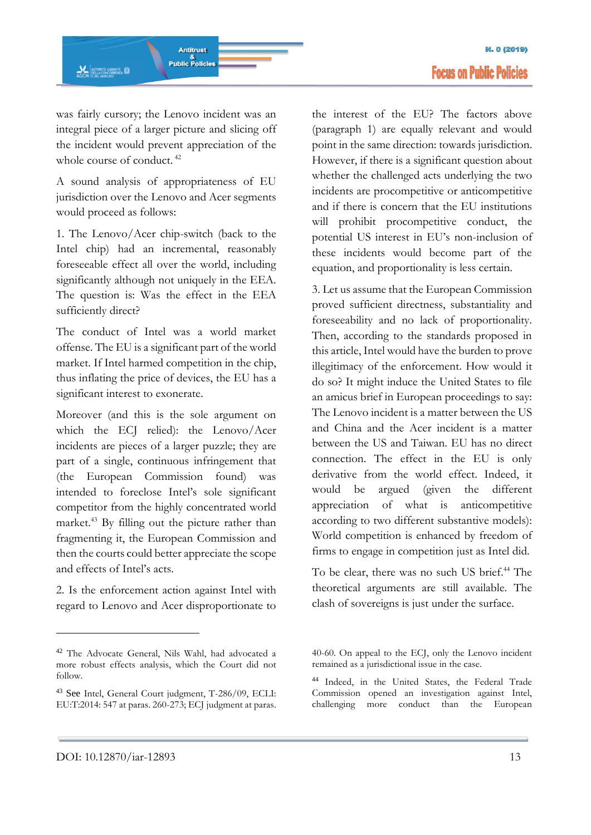

was fairly cursory; the Lenovo incident was an integral piece of a larger picture and slicing off the incident would prevent appreciation of the whole course of conduct.<sup>42</sup>

A sound analysis of appropriateness of EU jurisdiction over the Lenovo and Acer segments would proceed as follows:

1. The Lenovo/Acer chip-switch (back to the Intel chip) had an incremental, reasonably foreseeable effect all over the world, including significantly although not uniquely in the EEA. The question is: Was the effect in the EEA sufficiently direct?

The conduct of Intel was a world market offense. The EU is a significant part of the world market. If Intel harmed competition in the chip, thus inflating the price of devices, the EU has a significant interest to exonerate.

Moreover (and this is the sole argument on which the ECJ relied): the Lenovo/Acer incidents are pieces of a larger puzzle; they are part of a single, continuous infringement that (the European Commission found) was intended to foreclose Intel's sole significant competitor from the highly concentrated world market.<sup>43</sup> By filling out the picture rather than fragmenting it, the European Commission and then the courts could better appreciate the scope and effects of Intel's acts.

2. Is the enforcement action against Intel with regard to Lenovo and Acer disproportionate to the interest of the EU? The factors above (paragraph 1) are equally relevant and would point in the same direction: towards jurisdiction. However, if there is a significant question about whether the challenged acts underlying the two incidents are procompetitive or anticompetitive and if there is concern that the EU institutions will prohibit procompetitive conduct, the potential US interest in EU's non-inclusion of these incidents would become part of the equation, and proportionality is less certain.

3. Let us assume that the European Commission proved sufficient directness, substantiality and foreseeability and no lack of proportionality. Then, according to the standards proposed in this article, Intel would have the burden to prove illegitimacy of the enforcement. How would it do so? It might induce the United States to file an amicus brief in European proceedings to say: The Lenovo incident is a matter between the US and China and the Acer incident is a matter between the US and Taiwan. EU has no direct connection. The effect in the EU is only derivative from the world effect. Indeed, it would be argued (given the different appreciation of what is anticompetitive according to two different substantive models): World competition is enhanced by freedom of firms to engage in competition just as Intel did.

To be clear, there was no such US brief.<sup>44</sup> The theoretical arguments are still available. The clash of sovereigns is just under the surface.

<sup>42</sup> The Advocate General, Nils Wahl, had advocated a more robust effects analysis, which the Court did not follow.

<sup>43</sup> See Intel, General Court judgment, T-286/09, ECLI: EU:T:2014: 547 at paras. 260-273; ECJ judgment at paras.

<sup>40-60.</sup> On appeal to the ECJ, only the Lenovo incident remained as a jurisdictional issue in the case.

<sup>44</sup> Indeed, in the United States, the Federal Trade Commission opened an investigation against Intel, challenging more conduct than the European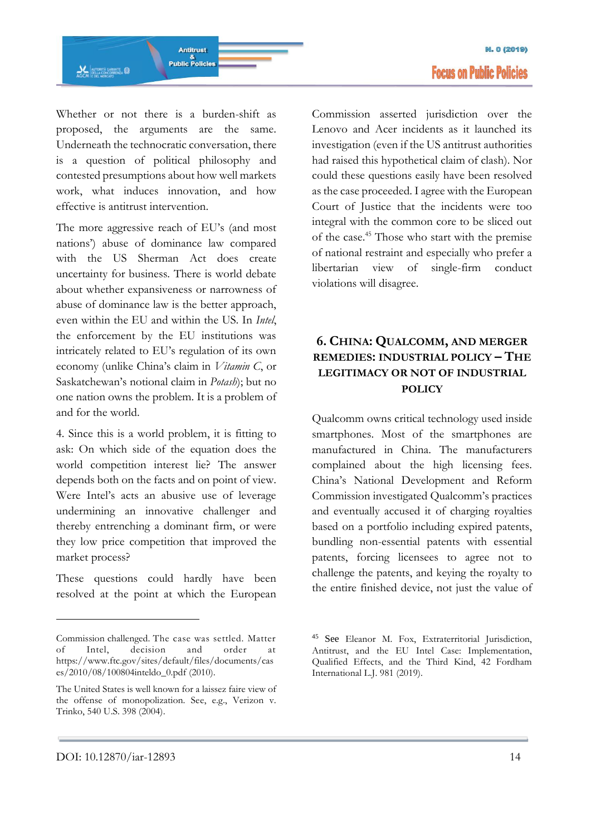

Whether or not there is a burden-shift as proposed, the arguments are the same. Underneath the technocratic conversation, there is a question of political philosophy and contested presumptions about how well markets work, what induces innovation, and how effective is antitrust intervention.

The more aggressive reach of EU's (and most nations') abuse of dominance law compared with the US Sherman Act does create uncertainty for business. There is world debate about whether expansiveness or narrowness of abuse of dominance law is the better approach, even within the EU and within the US. In *Intel*, the enforcement by the EU institutions was intricately related to EU's regulation of its own economy (unlike China's claim in *Vitamin C*, or Saskatchewan's notional claim in *Potash*); but no one nation owns the problem. It is a problem of and for the world.

4. Since this is a world problem, it is fitting to ask: On which side of the equation does the world competition interest lie? The answer depends both on the facts and on point of view. Were Intel's acts an abusive use of leverage undermining an innovative challenger and thereby entrenching a dominant firm, or were they low price competition that improved the market process?

These questions could hardly have been resolved at the point at which the European Commission asserted jurisdiction over the Lenovo and Acer incidents as it launched its investigation (even if the US antitrust authorities had raised this hypothetical claim of clash). Nor could these questions easily have been resolved as the case proceeded. I agree with the European Court of Justice that the incidents were too integral with the common core to be sliced out of the case.<sup>45</sup> Those who start with the premise of national restraint and especially who prefer a libertarian view of single-firm conduct violations will disagree.

## **6. CHINA: QUALCOMM, AND MERGER REMEDIES: INDUSTRIAL POLICY – THE LEGITIMACY OR NOT OF INDUSTRIAL POLICY**

Qualcomm owns critical technology used inside smartphones. Most of the smartphones are manufactured in China. The manufacturers complained about the high licensing fees. China's National Development and Reform Commission investigated Qualcomm's practices and eventually accused it of charging royalties based on a portfolio including expired patents, bundling non-essential patents with essential patents, forcing licensees to agree not to challenge the patents, and keying the royalty to the entire finished device, not just the value of

Commission challenged. The case was settled. Matter of Intel, decision and order at [https://www.ftc.gov/sites/default/files/documents/cas](https://www.ftc.gov/sites/default/files/documents/cases/2010/08/100804inteldo_0.pdf) [es/2010/08/100804inteldo\\_0.pdf](https://www.ftc.gov/sites/default/files/documents/cases/2010/08/100804inteldo_0.pdf) (2010).

The United States is well known for a laissez faire view of the offense of monopolization. See, e.g., Verizon v. Trinko, 540 U.S. 398 (2004).

<sup>45</sup> See Eleanor M. Fox, Extraterritorial Jurisdiction, Antitrust, and the EU Intel Case: Implementation, Qualified Effects, and the Third Kind, 42 Fordham International L.J. 981 (2019).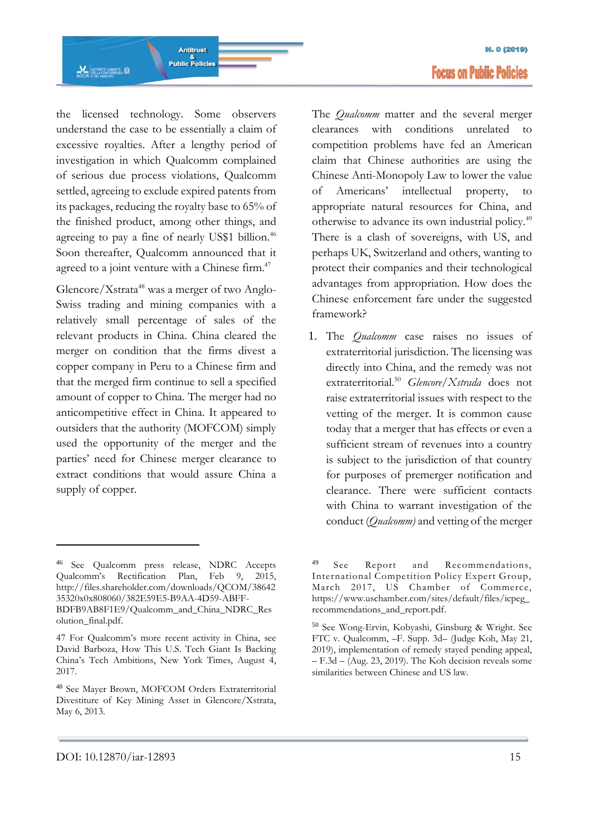

the licensed technology. Some observers understand the case to be essentially a claim of excessive royalties. After a lengthy period of investigation in which Qualcomm complained of serious due process violations, Qualcomm settled, agreeing to exclude expired patents from its packages, reducing the royalty base to 65% of the finished product, among other things, and

agreeing to pay a fine of nearly US\$1 billion.<sup>46</sup> Soon thereafter, Qualcomm announced that it agreed to a joint venture with a Chinese firm.<sup>47</sup>

Glencore/Xstrata<sup>48</sup> was a merger of two Anglo-Swiss trading and mining companies with a relatively small percentage of sales of the relevant products in China. China cleared the merger on condition that the firms divest a copper company in Peru to a Chinese firm and that the merged firm continue to sell a specified amount of copper to China. The merger had no anticompetitive effect in China. It appeared to outsiders that the authority (MOFCOM) simply used the opportunity of the merger and the parties' need for Chinese merger clearance to extract conditions that would assure China a supply of copper.

The *Qualcomm* matter and the several merger clearances with conditions unrelated to competition problems have fed an American claim that Chinese authorities are using the Chinese Anti-Monopoly Law to lower the value of Americans' intellectual property, to appropriate natural resources for China, and otherwise to advance its own industrial policy.<sup>49</sup> There is a clash of sovereigns, with US, and perhaps UK, Switzerland and others, wanting to protect their companies and their technological advantages from appropriation. How does the Chinese enforcement fare under the suggested

1. The *Qualcomm* case raises no issues of extraterritorial jurisdiction. The licensing was directly into China, and the remedy was not extraterritorial.<sup>50</sup> *Glencore/Xstrada* does not raise extraterritorial issues with respect to the vetting of the merger. It is common cause today that a merger that has effects or even a sufficient stream of revenues into a country is subject to the jurisdiction of that country for purposes of premerger notification and clearance. There were sufficient contacts with China to warrant investigation of the conduct (*Qualcomm)* and vetting of the merger

framework?

<sup>46</sup> See Qualcomm press release, NDRC Accepts Qualcomm's Rectification Plan, Feb 9, 2015, [http://files.shareholder.com/downloads/QCOM/38642](http://files.shareholder.com/downloads/QCOM/3864235320x0x808060/382E59E5-B9AA-4D59-ABFF-BDFB9AB8F1E9/Qualcomm_and_China_NDRC_Resolution_final.pdf) [35320x0x808060/382E59E5-B9AA-4D59-ABFF-](http://files.shareholder.com/downloads/QCOM/3864235320x0x808060/382E59E5-B9AA-4D59-ABFF-BDFB9AB8F1E9/Qualcomm_and_China_NDRC_Resolution_final.pdf)[BDFB9AB8F1E9/Qualcomm\\_and\\_China\\_NDRC\\_Res](http://files.shareholder.com/downloads/QCOM/3864235320x0x808060/382E59E5-B9AA-4D59-ABFF-BDFB9AB8F1E9/Qualcomm_and_China_NDRC_Resolution_final.pdf) [olution\\_final.pdf.](http://files.shareholder.com/downloads/QCOM/3864235320x0x808060/382E59E5-B9AA-4D59-ABFF-BDFB9AB8F1E9/Qualcomm_and_China_NDRC_Resolution_final.pdf)

<sup>47</sup> For Qualcomm's more recent activity in China, see David Barboza, How This U.S. Tech Giant Is Backing China's Tech Ambitions, New York Times, August 4, 2017.

<sup>48</sup> See Mayer Brown, MOFCOM Orders Extraterritorial Divestiture of Key Mining Asset in Glencore/Xstrata, May 6, 2013.

<sup>49</sup> See Report and Recommendations, International Competition Policy Expert Group, March 2017, US Chamber of Commerce, [https://www.uschamber.com/sites/default/files/icpeg\\_](https://www.uschamber.com/sites/default/files/icpeg_recommendations_and_report.pdf) [recommendations\\_and\\_report.pdf.](https://www.uschamber.com/sites/default/files/icpeg_recommendations_and_report.pdf)

<sup>50</sup> See Wong-Ervin, Kobyashi, Ginsburg & Wright. See FTC v. Qualcomm, –F. Supp. 3d– (Judge Koh, May 21, 2019), implementation of remedy stayed pending appeal, – F.3d – (Aug. 23, 2019). The Koh decision reveals some similarities between Chinese and US law.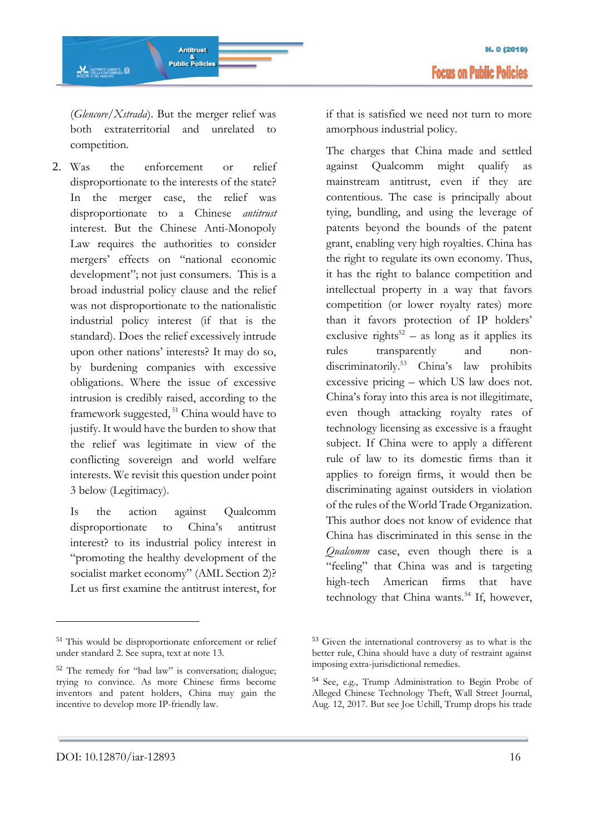**AL AUTORITÀ GARANTE** 

Antitrust

&<br>Public Policies

2. Was the enforcement or relief disproportionate to the interests of the state? In the merger case, the relief was disproportionate to a Chinese *antitrust* interest. But the Chinese Anti-Monopoly Law requires the authorities to consider mergers' effects on "national economic development"; not just consumers. This is a broad industrial policy clause and the relief was not disproportionate to the nationalistic industrial policy interest (if that is the standard). Does the relief excessively intrude upon other nations' interests? It may do so, by burdening companies with excessive obligations. Where the issue of excessive intrusion is credibly raised, according to the framework suggested,  $51$  China would have to justify. It would have the burden to show that the relief was legitimate in view of the conflicting sovereign and world welfare interests. We revisit this question under point 3 below (Legitimacy).

Is the action against Qualcomm disproportionate to China's antitrust interest? to its industrial policy interest in "promoting the healthy development of the socialist market economy" (AML Section 2)? Let us first examine the antitrust interest, for

if that is satisfied we need not turn to more amorphous industrial policy.

The charges that China made and settled against Qualcomm might qualify as mainstream antitrust, even if they are contentious. The case is principally about tying, bundling, and using the leverage of patents beyond the bounds of the patent grant, enabling very high royalties. China has the right to regulate its own economy. Thus, it has the right to balance competition and intellectual property in a way that favors competition (or lower royalty rates) more than it favors protection of IP holders' exclusive rights<sup>52</sup> – as long as it applies its rules transparently and nondiscriminatorily.<sup>53</sup> China's law prohibits excessive pricing – which US law does not. China's foray into this area is not illegitimate, even though attacking royalty rates of technology licensing as excessive is a fraught subject. If China were to apply a different rule of law to its domestic firms than it applies to foreign firms, it would then be discriminating against outsiders in violation of the rules of the World Trade Organization. This author does not know of evidence that China has discriminated in this sense in the *Qualcomm* case, even though there is a "feeling" that China was and is targeting high-tech American firms that have technology that China wants.<sup>54</sup> If, however,

<sup>51</sup> This would be disproportionate enforcement or relief under standard 2. See supra, text at note 13.

<sup>52</sup> The remedy for "bad law" is conversation; dialogue; trying to convince. As more Chinese firms become inventors and patent holders, China may gain the incentive to develop more IP-friendly law.

<sup>53</sup> Given the international controversy as to what is the better rule, China should have a duty of restraint against imposing extra-jurisdictional remedies.

<sup>54</sup> See, e.g., Trump Administration to Begin Probe of Alleged Chinese Technology Theft, Wall Street Journal, Aug. 12, 2017. But see Joe Uchill, Trump drops his trade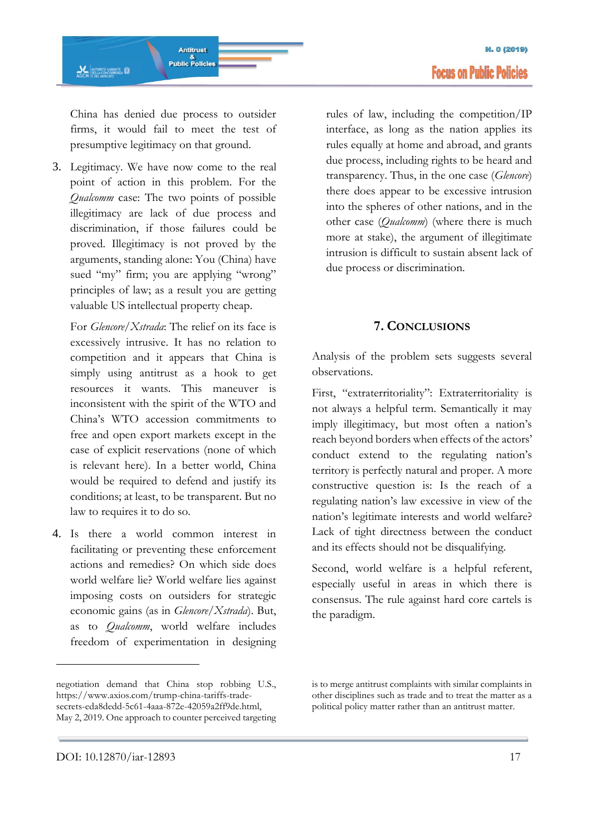China has denied due process to outsider firms, it would fail to meet the test of presumptive legitimacy on that ground.

3. Legitimacy. We have now come to the real point of action in this problem. For the *Qualcomm* case: The two points of possible illegitimacy are lack of due process and discrimination, if those failures could be proved. Illegitimacy is not proved by the arguments, standing alone: You (China) have sued "my" firm; you are applying "wrong" principles of law; as a result you are getting valuable US intellectual property cheap.

For *Glencore/Xstrada*: The relief on its face is excessively intrusive. It has no relation to competition and it appears that China is simply using antitrust as a hook to get resources it wants. This maneuver is inconsistent with the spirit of the WTO and China's WTO accession commitments to free and open export markets except in the case of explicit reservations (none of which is relevant here). In a better world, China would be required to defend and justify its conditions; at least, to be transparent. But no law to requires it to do so.

4. Is there a world common interest in facilitating or preventing these enforcement actions and remedies? On which side does world welfare lie? World welfare lies against imposing costs on outsiders for strategic economic gains (as in *Glencore/Xstrada*). But, as to *Qualcomm*, world welfare includes freedom of experimentation in designing rules of law, including the competition/IP interface, as long as the nation applies its rules equally at home and abroad, and grants due process, including rights to be heard and transparency. Thus, in the one case (*Glencore*) there does appear to be excessive intrusion into the spheres of other nations, and in the other case (*Qualcomm*) (where there is much more at stake), the argument of illegitimate intrusion is difficult to sustain absent lack of due process or discrimination.

### **7. CONCLUSIONS**

Analysis of the problem sets suggests several observations.

First, "extraterritoriality": Extraterritoriality is not always a helpful term. Semantically it may imply illegitimacy, but most often a nation's reach beyond borders when effects of the actors' conduct extend to the regulating nation's territory is perfectly natural and proper. A more constructive question is: Is the reach of a regulating nation's law excessive in view of the nation's legitimate interests and world welfare? Lack of tight directness between the conduct and its effects should not be disqualifying.

Second, world welfare is a helpful referent, especially useful in areas in which there is consensus. The rule against hard core cartels is the paradigm.

negotiation demand that China stop robbing U.S., [https://www.axios.com/trump-china-tariffs-trade](https://mercury.law.nyu.edu/owa/redir.aspx?C=NsvC4abXrT1Tqgy1mHUUlHn9yQpjQ-tlhXjgKpWQvNs-K_d8U_PWCA..&URL=https%3a%2f%2fwww.axios.com%2ftrump-china-tariffs-trade-secrets-eda8dedd-5c61-4aaa-872e-42059a2ff9de.html)[secrets-eda8dedd-5c61-4aaa-872e-42059a2ff9de.html,](https://mercury.law.nyu.edu/owa/redir.aspx?C=NsvC4abXrT1Tqgy1mHUUlHn9yQpjQ-tlhXjgKpWQvNs-K_d8U_PWCA..&URL=https%3a%2f%2fwww.axios.com%2ftrump-china-tariffs-trade-secrets-eda8dedd-5c61-4aaa-872e-42059a2ff9de.html)  May 2, 2019. One approach to counter perceived targeting

is to merge antitrust complaints with similar complaints in other disciplines such as trade and to treat the matter as a political policy matter rather than an antitrust matter.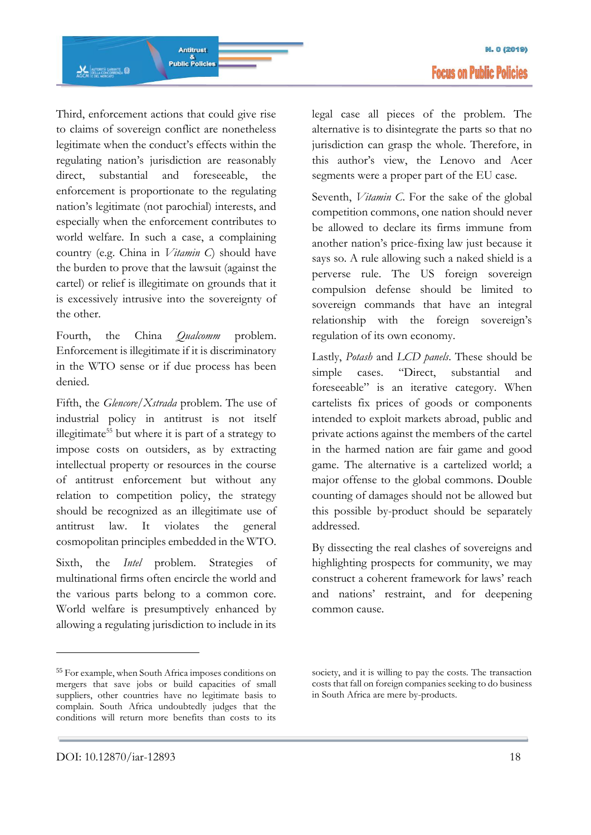Third, enforcement actions that could give rise to claims of sovereign conflict are nonetheless legitimate when the conduct's effects within the regulating nation's jurisdiction are reasonably direct, substantial and foreseeable, the enforcement is proportionate to the regulating nation's legitimate (not parochial) interests, and especially when the enforcement contributes to world welfare. In such a case, a complaining country (e.g. China in *Vitamin C*) should have the burden to prove that the lawsuit (against the cartel) or relief is illegitimate on grounds that it is excessively intrusive into the sovereignty of the other.

Fourth, the China *Qualcomm* problem. Enforcement is illegitimate if it is discriminatory in the WTO sense or if due process has been denied.

Fifth, the *Glencore/Xstrada* problem. The use of industrial policy in antitrust is not itself illegitimate<sup>55</sup> but where it is part of a strategy to impose costs on outsiders, as by extracting intellectual property or resources in the course of antitrust enforcement but without any relation to competition policy, the strategy should be recognized as an illegitimate use of antitrust law. It violates the general cosmopolitan principles embedded in the WTO.

Sixth, the *Intel* problem. Strategies of multinational firms often encircle the world and the various parts belong to a common core. World welfare is presumptively enhanced by allowing a regulating jurisdiction to include in its

<sup>55</sup> For example, when South Africa imposes conditions on mergers that save jobs or build capacities of small suppliers, other countries have no legitimate basis to complain. South Africa undoubtedly judges that the conditions will return more benefits than costs to its

legal case all pieces of the problem. The alternative is to disintegrate the parts so that no jurisdiction can grasp the whole. Therefore, in this author's view, the Lenovo and Acer segments were a proper part of the EU case.

Seventh, *Vitamin C*. For the sake of the global competition commons, one nation should never be allowed to declare its firms immune from another nation's price-fixing law just because it says so. A rule allowing such a naked shield is a perverse rule. The US foreign sovereign compulsion defense should be limited to sovereign commands that have an integral relationship with the foreign sovereign's regulation of its own economy.

Lastly, *Potash* and *LCD panels*. These should be simple cases. "Direct, substantial and foreseeable" is an iterative category. When cartelists fix prices of goods or components intended to exploit markets abroad, public and private actions against the members of the cartel in the harmed nation are fair game and good game. The alternative is a cartelized world; a major offense to the global commons. Double counting of damages should not be allowed but this possible by-product should be separately addressed.

By dissecting the real clashes of sovereigns and highlighting prospects for community, we may construct a coherent framework for laws' reach and nations' restraint, and for deepening common cause.

-

society, and it is willing to pay the costs. The transaction costs that fall on foreign companies seeking to do business in South Africa are mere by-products.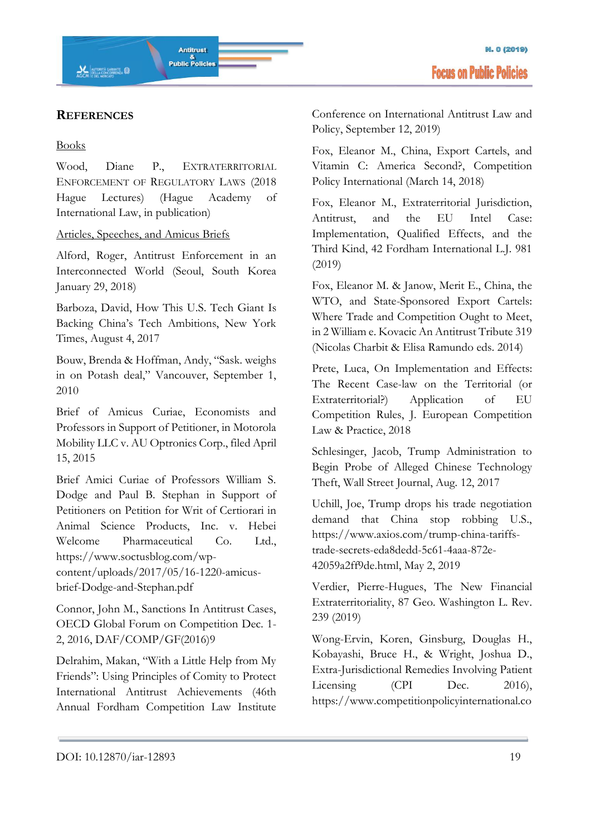### **REFERENCES**

#### Books

Wood, Diane P., EXTRATERRITORIAL ENFORCEMENT OF REGULATORY LAWS (2018 Hague Lectures) (Hague Academy of International Law, in publication)

### Articles, Speeches, and Amicus Briefs

Alford, Roger, Antitrust Enforcement in an Interconnected World (Seoul, South Korea January 29, 2018)

Barboza, David, How This U.S. Tech Giant Is Backing China's Tech Ambitions, New York Times, August 4, 2017

Bouw, Brenda & Hoffman, Andy, "Sask. weighs in on Potash deal," Vancouver, September 1, 2010

Brief of Amicus Curiae, Economists and Professors in Support of Petitioner, in Motorola Mobility LLC v. AU Optronics Corp., filed April 15, 2015

Brief Amici Curiae of Professors William S. Dodge and Paul B. Stephan in Support of Petitioners on Petition for Writ of Certiorari in Animal Science Products, Inc. v. Hebei Welcome Pharmaceutical Co. Ltd., https://www.soctusblog.com/wpcontent/uploads/2017/05/16-1220-amicusbrief-Dodge-and-Stephan.pdf

Connor, John M., Sanctions In Antitrust Cases, OECD Global Forum on Competition Dec. 1- 2, 2016, DAF/COMP/GF(2016)9

Delrahim, Makan, "With a Little Help from My Friends": Using Principles of Comity to Protect International Antitrust Achievements (46th Annual Fordham Competition Law Institute Conference on International Antitrust Law and Policy, September 12, 2019)

Fox, Eleanor M., China, Export Cartels, and Vitamin C: America Second?, Competition Policy International (March 14, 2018)

Fox, Eleanor M., Extraterritorial Jurisdiction, Antitrust, and the EU Intel Case: Implementation, Qualified Effects, and the Third Kind, 42 Fordham International L.J. 981 (2019)

Fox, Eleanor M. & Janow, Merit E., China, the WTO, and State-Sponsored Export Cartels: Where Trade and Competition Ought to Meet, in 2 William e. Kovacic An Antitrust Tribute 319 (Nicolas Charbit & Elisa Ramundo eds. 2014)

Prete, Luca, On Implementation and Effects: The Recent Case-law on the Territorial (or Extraterritorial?) Application of EU Competition Rules, J. European Competition Law & Practice, 2018

Schlesinger, Jacob, Trump Administration to Begin Probe of Alleged Chinese Technology Theft, Wall Street Journal, Aug. 12, 2017

Uchill, Joe, Trump drops his trade negotiation demand that China stop robbing U.S., https://www.axios.com/trump-china-tariffstrade-secrets-eda8dedd-5c61-4aaa-872e-42059a2ff9de.html, May 2, 2019

Verdier, Pierre-Hugues, The New Financial Extraterritoriality, 87 Geo. Washington L. Rev. 239 (2019)

Wong-Ervin, Koren, Ginsburg, Douglas H., Kobayashi, Bruce H., & Wright, Joshua D., Extra-Jurisdictional Remedies Involving Patient Licensing (CPI Dec. 2016), https://www.competitionpolicyinternational.co